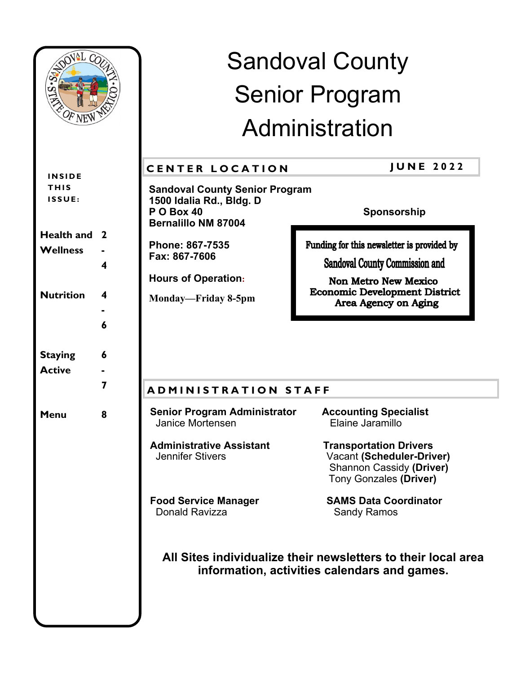| noval Co<br>OF NEW                     |                   | <b>Sandoval County</b><br><b>Senior Program</b>                                                               |                                                                                                                                       |
|----------------------------------------|-------------------|---------------------------------------------------------------------------------------------------------------|---------------------------------------------------------------------------------------------------------------------------------------|
|                                        |                   | Administration                                                                                                |                                                                                                                                       |
|                                        |                   | <b>CENTER LOCATION</b>                                                                                        | <b>JUNE 2022</b>                                                                                                                      |
| <b>INSIDE</b><br><b>THIS</b><br>ISSUE: |                   | <b>Sandoval County Senior Program</b><br>1500 Idalia Rd., Bldg. D<br>PO Box 40<br><b>Bernalillo NM 87004</b>  | Sponsorship                                                                                                                           |
| <b>Health and</b><br><b>Wellness</b>   | <sup>2</sup><br>4 | Phone: 867-7535<br>Fax: 867-7606<br><b>Hours of Operation:</b>                                                | Funding for this newsletter is provided by<br><b>Sandoval County Commission and</b><br><b>Non Metro New Mexico</b>                    |
| <b>Nutrition</b>                       | 4<br>6            | Monday—Friday 8-5pm                                                                                           | <b>Economic Development District</b><br>Area Agency on Aging                                                                          |
| <b>Staying</b><br><b>Active</b>        | 6<br>7            | <b>ADMINISTRATION STAFF</b>                                                                                   |                                                                                                                                       |
| Menu                                   | 8                 | <b>Senior Program Administrator</b><br>Janice Mortensen                                                       | <b>Accounting Specialist</b><br>Elaine Jaramillo                                                                                      |
|                                        |                   | <b>Administrative Assistant</b><br><b>Jennifer Stivers</b>                                                    | <b>Transportation Drivers</b><br><b>Vacant (Scheduler-Driver)</b><br><b>Shannon Cassidy (Driver)</b><br><b>Tony Gonzales (Driver)</b> |
|                                        |                   | <b>Food Service Manager</b><br>Donald Ravizza                                                                 | <b>SAMS Data Coordinator</b><br><b>Sandy Ramos</b>                                                                                    |
|                                        |                   | All Sites individualize their newsletters to their local area<br>information, activities calendars and games. |                                                                                                                                       |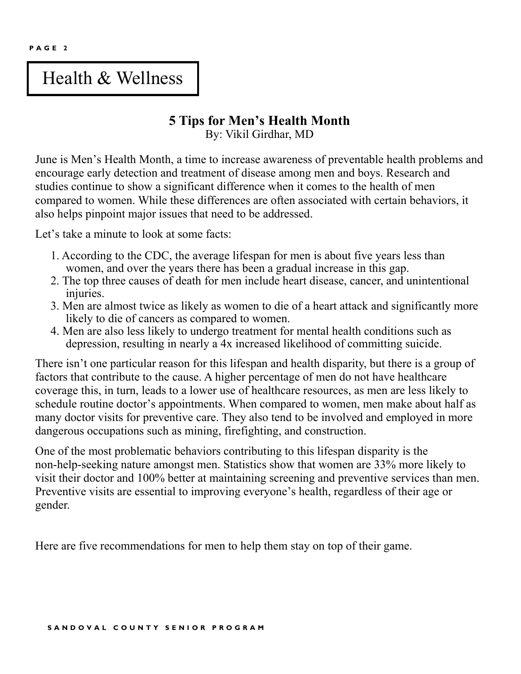**P A G E 2**

# Health & Wellness

# **5 Tips for Men's Health Month**

By: Vikil Girdhar, MD

June is Men's Health Month, a time to increase awareness of preventable health problems and encourage early detection and treatment of disease among men and boys. Research and studies continue to show a significant difference when it comes to the health of men compared to women. While these differences are often associated with certain behaviors, it also helps pinpoint major issues that need to be addressed.

Let's take a minute to look at some facts:

- 1. According to the CDC, the average lifespan for men is about five years less than women, and over the years there has been a gradual increase in this gap.
- 2. The top three causes of death for men include heart disease, cancer, and unintentional injuries.
- 3. Men are almost twice as likely as women to die of a heart attack and significantly more likely to die of cancers as compared to women.
- 4. Men are also less likely to undergo treatment for mental health conditions such as depression, resulting in nearly a 4x increased likelihood of committing suicide.

There isn't one particular reason for this lifespan and health disparity, but there is a group of factors that contribute to the cause. A higher percentage of men do not have healthcare coverage this, in turn, leads to a lower use of healthcare resources, as men are less likely to schedule routine doctor's appointments. When compared to women, men make about half as many doctor visits for preventive care. They also tend to be involved and employed in more dangerous occupations such as mining, firefighting, and construction.

One of the most problematic behaviors contributing to this lifespan disparity is the non-help-seeking nature amongst men. Statistics show that women are 33% more likely to visit their doctor and 100% better at maintaining screening and preventive services than men. Preventive visits are essential to improving everyone's health, regardless of their age or gender.

Here are five recommendations for men to help them stay on top of their game.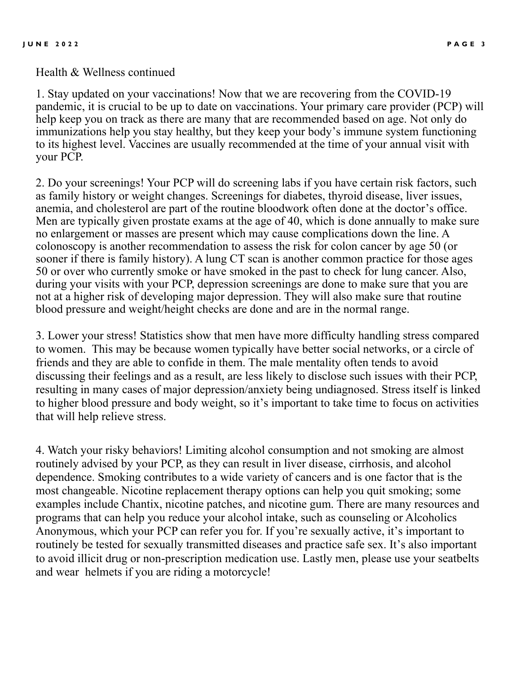Health & Wellness continued

1. Stay updated on your vaccinations! Now that we are recovering from the COVID-19 pandemic, it is crucial to be up to date on vaccinations. Your primary care provider (PCP) will help keep you on track as there are many that are recommended based on age. Not only do immunizations help you stay healthy, but they keep your body's immune system functioning to its highest level. Vaccines are usually recommended at the time of your annual visit with your PCP.

2. Do your screenings! Your PCP will do screening labs if you have certain risk factors, such as family history or weight changes. Screenings for diabetes, thyroid disease, liver issues, anemia, and cholesterol are part of the routine bloodwork often done at the doctor's office. Men are typically given prostate exams at the age of 40, which is done annually to make sure no enlargement or masses are present which may cause complications down the line. A colonoscopy is another recommendation to assess the risk for colon cancer by age 50 (or sooner if there is family history). A lung CT scan is another common practice for those ages 50 or over who currently smoke or have smoked in the past to check for lung cancer. Also, during your visits with your PCP, depression screenings are done to make sure that you are not at a higher risk of developing major depression. They will also make sure that routine blood pressure and weight/height checks are done and are in the normal range.

3. Lower your stress! Statistics show that men have more difficulty handling stress compared to women. This may be because women typically have better social networks, or a circle of friends and they are able to confide in them. The male mentality often tends to avoid discussing their feelings and as a result, are less likely to disclose such issues with their PCP, resulting in many cases of major depression/anxiety being undiagnosed. Stress itself is linked to higher blood pressure and body weight, so it's important to take time to focus on activities that will help relieve stress.

4. Watch your risky behaviors! Limiting alcohol consumption and not smoking are almost routinely advised by your PCP, as they can result in liver disease, cirrhosis, and alcohol dependence. Smoking contributes to a wide variety of cancers and is one factor that is the most changeable. Nicotine replacement therapy options can help you quit smoking; some examples include Chantix, nicotine patches, and nicotine gum. There are many resources and programs that can help you reduce your alcohol intake, such as counseling or Alcoholics Anonymous, which your PCP can refer you for. If you're sexually active, it's important to routinely be tested for sexually transmitted diseases and practice safe sex. It's also important to avoid illicit drug or non-prescription medication use. Lastly men, please use your seatbelts and wear helmets if you are riding a motorcycle!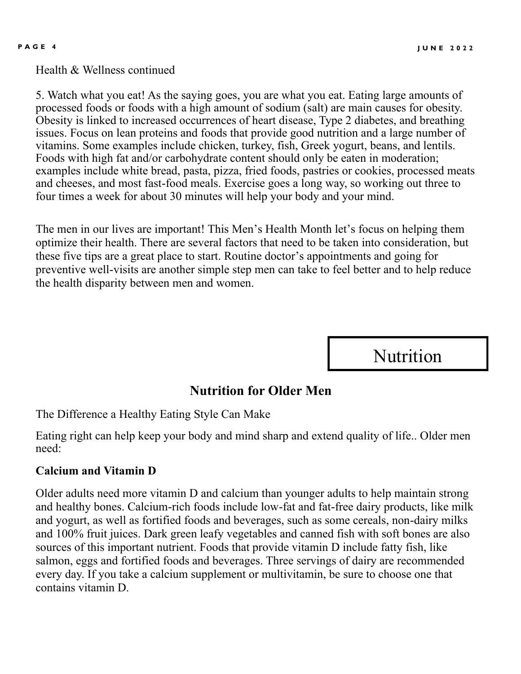Health & Wellness continued

5. Watch what you eat! As the saying goes, you are what you eat. Eating large amounts of processed foods or foods with a high amount of sodium (salt) are main causes for obesity. Obesity is linked to increased occurrences of heart disease, Type 2 diabetes, and breathing issues. Focus on lean proteins and foods that provide good nutrition and a large number of vitamins. Some examples include chicken, turkey, fish, Greek yogurt, beans, and lentils. Foods with high fat and/or carbohydrate content should only be eaten in moderation; examples include white bread, pasta, pizza, fried foods, pastries or cookies, processed meats and cheeses, and most fast-food meals. Exercise goes a long way, so working out three to four times a week for about 30 minutes will help your body and your mind.

The men in our lives are important! This Men's Health Month let's focus on helping them optimize their health. There are several factors that need to be taken into consideration, but these five tips are a great place to start. Routine doctor's appointments and going for preventive well-visits are another simple step men can take to feel better and to help reduce the health disparity between men and women.

**Nutrition** 

## **Nutrition for Older Men**

The Difference a Healthy Eating Style Can Make

Eating right can help keep your body and mind sharp and extend quality of life.. Older men need:

#### **Calcium and Vitamin D**

Older adults need more vitamin D and calcium than younger adults to help maintain strong and healthy bones. Calcium-rich foods include low-fat and fat-free dairy products, like milk and yogurt, as well as fortified foods and beverages, such as some cereals, non-dairy milks and 100% fruit juices. Dark green leafy vegetables and canned fish with soft bones are also sources of this important nutrient. Foods that provide vitamin D include fatty fish, like salmon, eggs and fortified foods and beverages. Three servings of dairy are recommended every day. If you take a calcium supplement or multivitamin, be sure to choose one that contains vitamin D.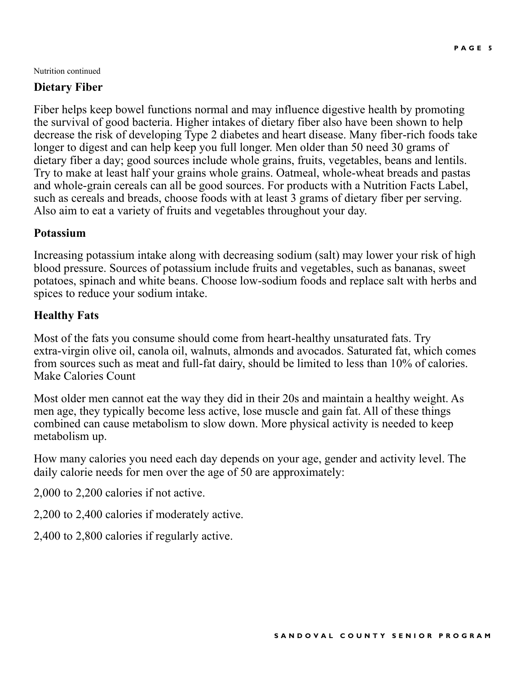Nutrition continued

### **Dietary Fiber**

Fiber helps keep bowel functions normal and may influence digestive health by promoting the survival of good bacteria. Higher intakes of dietary fiber also have been shown to help decrease the risk of developing Type 2 diabetes and heart disease. Many fiber-rich foods take longer to digest and can help keep you full longer. Men older than 50 need 30 grams of dietary fiber a day; good sources include whole grains, fruits, vegetables, beans and lentils. Try to make at least half your grains whole grains. Oatmeal, whole-wheat breads and pastas and whole-grain cereals can all be good sources. For products with a Nutrition Facts Label, such as cereals and breads, choose foods with at least 3 grams of dietary fiber per serving. Also aim to eat a variety of fruits and vegetables throughout your day.

#### **Potassium**

Increasing potassium intake along with decreasing sodium (salt) may lower your risk of high blood pressure. Sources of potassium include fruits and vegetables, such as bananas, sweet potatoes, spinach and white beans. Choose low-sodium foods and replace salt with herbs and spices to reduce your sodium intake.

#### **Healthy Fats**

Most of the fats you consume should come from heart-healthy unsaturated fats. Try extra-virgin olive oil, canola oil, walnuts, almonds and avocados. Saturated fat, which comes from sources such as meat and full-fat dairy, should be limited to less than 10% of calories. Make Calories Count

Most older men cannot eat the way they did in their 20s and maintain a healthy weight. As men age, they typically become less active, lose muscle and gain fat. All of these things combined can cause metabolism to slow down. More physical activity is needed to keep metabolism up.

How many calories you need each day depends on your age, gender and activity level. The daily calorie needs for men over the age of 50 are approximately:

2,000 to 2,200 calories if not active.

2,200 to 2,400 calories if moderately active.

2,400 to 2,800 calories if regularly active.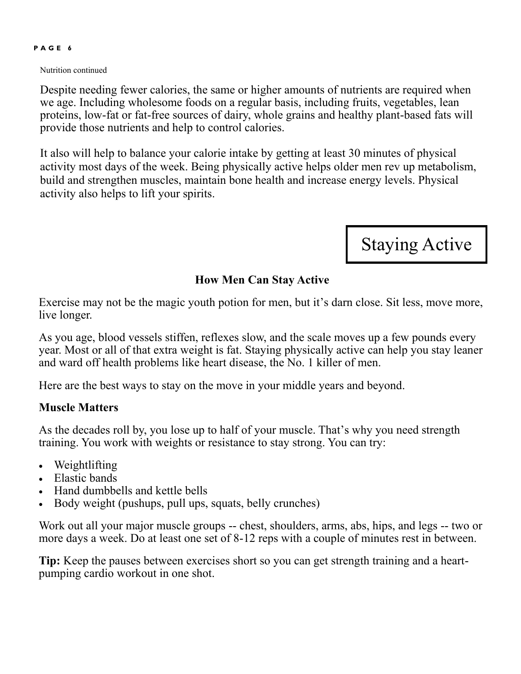#### **P A G E 6**

Nutrition continued

Despite needing fewer calories, the same or higher amounts of nutrients are required when we age. Including wholesome foods on a regular basis, including fruits, vegetables, lean proteins, low-fat or fat-free sources of dairy, whole grains and healthy plant-based fats will provide those nutrients and help to control calories.

It also will help to balance your calorie intake by getting at least 30 minutes of physical activity most days of the week. Being physically active helps older men rev up metabolism, build and strengthen muscles, maintain bone health and increase energy levels. Physical activity also helps to lift your spirits.

Staying Active

#### **How Men Can Stay Active**

Exercise may not be the magic youth potion for men, but it's darn close. Sit less, move more, live longer.

As you age, blood vessels stiffen, reflexes slow, and the scale moves up a few pounds every year. Most or all of that extra weight is fat. Staying physically active can help you stay leaner and ward off health problems like heart disease, the No. 1 killer of men.

Here are the best ways to stay on the move in your middle years and beyond.

#### **Muscle Matters**

As the decades roll by, you lose up to half of your muscle. That's why you need strength training. You work with weights or resistance to stay strong. You can try:

- Weightlifting
- Elastic bands
- Hand dumbbells and kettle bells
- Body weight (pushups, pull ups, squats, belly crunches)

Work out all your major muscle groups -- chest, shoulders, arms, abs, hips, and legs -- two or more days a week. Do at least one set of 8-12 reps with a couple of minutes rest in between.

**Tip:** Keep the pauses between exercises short so you can get strength training and a heartpumping cardio workout in one shot.